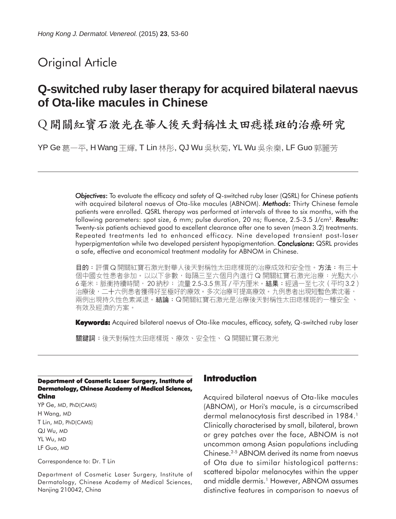# Original Article

# **Q-switched ruby laser therapy for acquired bilateral naevus of Ota-like macules in Chinese**

Q 開關紅寶石激光在華人後天對稱性太田痣樣斑的治療研究

YP Ge 葛一平, H Wang 王輝, T Lin 林彤, QJ Wu 吳秋菊, YL Wu 吳余樂, LF Guo 郭麗芳

*Objectives*: To evaluate the efficacy and safety of Q-switched ruby laser (QSRL) for Chinese patients with acquired bilateral naevus of Ota-like macules (ABNOM). *Methods*: Thirty Chinese female patients were enrolled. QSRL therapy was performed at intervals of three to six months, with the following parameters: spot size, 6 mm; pulse duration, 20 ns; fluence, 2.5-3.5 J/cm2. *Results*: Twenty-six patients achieved good to excellent clearance after one to seven (mean 3.2) treatments. Repeated treatments led to enhanced efficacy. Nine developed transient post-laser hyperpigmentation while two developed persistent hypopigmentation. *Conclusions*: QSRL provides a safe, effective and economical treatment modality for ABNOM in Chinese.

目的:評價 Q 開關紅寶石激光對華人後天對稱性太田痣樣斑的治療成效和安全性。方法:有三十 個中國女性患者參加。以以下參數,每隔三至六個月內進行 Q 開關紅寶石激光治療:光點大小 6毫米;脈衝持續時間,20納秒; 流量 2.5-3.5 焦耳 / 平方厘米。結果:經過一至七次 ( 平均 3.2 ) 治療後,二十六例患者獲得好至極好的療效。多次治療可提高療效。九例患者出現短暫色素沈著, 兩例出現持久性色素減退。結論:Q開關紅寶石激光是治療後天對稱性太田痣樣斑的一種安全、 有效及經濟的方案。

**Keywords:** Acquired bilateral naevus of Ota-like macules, efficacy, safety, Q-switched ruby laser

關鍵詞:後天對稱性太田痣樣斑、療效、安全性、Q開關紅寶石激光

#### **Department of Cosmetic Laser Surgery, Institute of Dermatology, Chinese Academy of Medical Sciences, China**

YP Ge, MD, PhD(CAMS) H Wang, MD T Lin, MD, PhD(CAMS) QJ Wu, MD YL Wu, MD LF Guo, MD

Correspondence to: Dr. T Lin

Department of Cosmetic Laser Surgery, Institute of Dermatology, Chinese Academy of Medical Sciences, Nanjing 210042, China

# **Introduction**

Acquired bilateral naevus of Ota-like macules (ABNOM), or Hori's macule, is a circumscribed dermal melanocytosis first described in 1984.<sup>1</sup> Clinically characterised by small, bilateral, brown or grey patches over the face, ABNOM is not uncommon among Asian populations including Chinese.2-5 ABNOM derived its name from naevus of Ota due to similar histological patterns: scattered bipolar melanocytes within the upper and middle dermis.<sup>1</sup> However, ABNOM assumes distinctive features in comparison to naevus of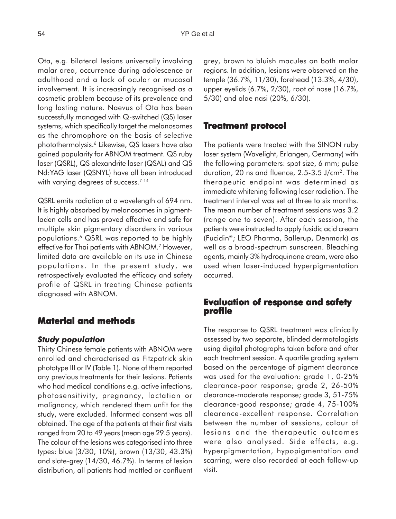Ota, e.g. bilateral lesions universally involving malar area, occurrence during adolescence or adulthood and a lack of ocular or mucosal involvement. It is increasingly recognised as a cosmetic problem because of its prevalence and long lasting nature. Naevus of Ota has been successfully managed with Q-switched (QS) laser systems, which specifically target the melanosomes as the chromophore on the basis of selective photothermolysis.6 Likewise, QS lasers have also gained popularity for ABNOM treatment. QS ruby laser (QSRL), QS alexandrite laser (QSAL) and QS Nd:YAG laser (QSNYL) have all been introduced with varying degrees of success.<sup>7-14</sup>

QSRL emits radiation at a wavelength of 694 nm. It is highly absorbed by melanosomes in pigmentladen cells and has proved effective and safe for multiple skin pigmentary disorders in various populations.6 QSRL was reported to be highly effective for Thai patients with ABNOM.<sup>7</sup> However, limited data are available on its use in Chinese populations. In the present study, we retrospectively evaluated the efficacy and safety profile of QSRL in treating Chinese patients diagnosed with ABNOM.

## **Material and methods**

#### *Study population*

Thirty Chinese female patients with ABNOM were enrolled and characterised as Fitzpatrick skin phototype III or IV (Table 1). None of them reported any previous treatments for their lesions. Patients who had medical conditions e.g. active infections, photosensitivity, pregnancy, lactation or malignancy, which rendered them unfit for the study, were excluded. Informed consent was all obtained. The age of the patients at their first visits ranged from 20 to 49 years (mean age 29.5 years). The colour of the lesions was categorised into three types: blue (3/30, 10%), brown (13/30, 43.3%) and slate-grey (14/30, 46.7%). In terms of lesion distribution, all patients had mottled or confluent grey, brown to bluish macules on both malar regions. In addition, lesions were observed on the temple (36.7%, 11/30), forehead (13.3%, 4/30), upper eyelids (6.7%, 2/30), root of nose (16.7%, 5/30) and alae nasi (20%, 6/30).

#### **Treatment protocol reatment protocol**

The patients were treated with the SINON ruby laser system (Wavelight, Erlangen, Germany) with the following parameters: spot size, 6 mm; pulse duration, 20 ns and fluence, 2.5-3.5 J/cm2. The therapeutic endpoint was determined as immediate whitening following laser radiation. The treatment interval was set at three to six months. The mean number of treatment sessions was 3.2 (range one to seven). After each session, the patients were instructed to apply fusidic acid cream (Fucidin®; LEO Pharma, Ballerup, Denmark) as well as a broad-spectrum sunscreen. Bleaching agents, mainly 3% hydroquinone cream, were also used when laser-induced hyperpigmentation occurred.

# **Evaluation of response and safety profile**

The response to QSRL treatment was clinically assessed by two separate, blinded dermatologists using digital photographs taken before and after each treatment session. A quartile grading system based on the percentage of pigment clearance was used for the evaluation: grade 1, 0-25% clearance-poor response; grade 2, 26-50% clearance-moderate response; grade 3, 51-75% clearance-good response; grade 4, 75-100% clearance-excellent response. Correlation between the number of sessions, colour of lesions and the therapeutic outcomes were also analysed. Side effects, e.g. hyperpigmentation, hypopigmentation and scarring, were also recorded at each follow-up visit.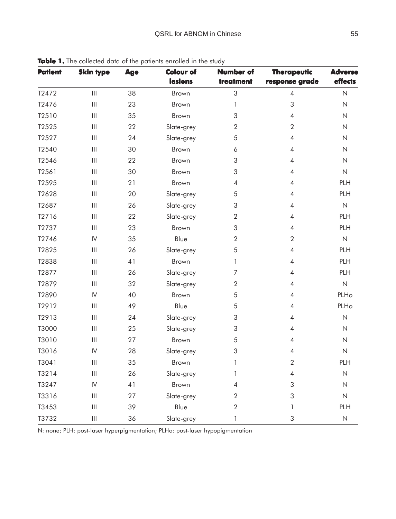| <b>Patient</b> | <b>Skin type</b>                      | <b>Age</b> | <b>Colour of</b>  | <b>Number of</b>                           | <b>Therapeutic</b>       | <b>Adverse</b>      |  |
|----------------|---------------------------------------|------------|-------------------|--------------------------------------------|--------------------------|---------------------|--|
|                |                                       |            | lesions           | treatment                                  | response grade           | effects             |  |
| T2472          | $\mathop{\rm III}$                    | 38         | Brown             | 3                                          | $\overline{4}$           | $\mathsf{N}\xspace$ |  |
| T2476          | $\  \, \ $                            | 23         | Brown             | 1                                          | 3                        | $\mathsf{N}\xspace$ |  |
| T2510          | $\mathop{\rm III}$                    | 35         | 3<br><b>Brown</b> |                                            | 4                        | $\mathsf{N}\xspace$ |  |
| T2525          | $\begin{array}{c} \hline \end{array}$ | 22         | Slate-grey        | $\overline{2}$                             |                          | $\overline{N}$      |  |
| T2527          | $\begin{array}{c} \hline \end{array}$ | 24         | Slate-grey        | $\sqrt{5}$<br>$\overline{4}$               |                          | $\mathsf{N}\xspace$ |  |
| T2540          | $\  \, \ $                            | 30         | Brown             | 6<br>4                                     |                          | $\mathsf{N}\xspace$ |  |
| T2546          | $\  \, \ $                            | 22         | Brown             | 3                                          | $\overline{\mathcal{A}}$ | $\mathsf{N}\xspace$ |  |
| T2561          | $\  \, \ $                            | 30         | Brown             | 3<br>4                                     |                          | $\mathsf{N}\xspace$ |  |
| T2595          | $\begin{array}{c} \hline \end{array}$ | 21         | Brown             | $\overline{4}$<br>4                        |                          | PLH                 |  |
| T2628          | $\begin{array}{c} \hline \end{array}$ | 20         | Slate-grey        | 5<br>$\overline{\mathcal{A}}$              |                          | PLH                 |  |
| T2687          | $\begin{array}{c} \hline \end{array}$ | 26         | Slate-grey        | 3<br>4                                     |                          | $\mathsf{N}\xspace$ |  |
| T2716          | $\vert\vert\vert$                     | 22         | Slate-grey        | $\sqrt{2}$<br>$\overline{\mathcal{A}}$     |                          | PLH                 |  |
| T2737          | $\begin{array}{c} \hline \end{array}$ | 23         | Brown             | 3                                          |                          | PLH                 |  |
| T2746          | $\mathsf{IV}$                         | 35         | Blue              | $\sqrt{2}$                                 | $\overline{2}$           | $\mathsf{N}\xspace$ |  |
| T2825          | $\begin{array}{c} \hline \end{array}$ | 26         | Slate-grey        | 5                                          | $\overline{4}$           | PLH                 |  |
| T2838          | $\  \, \ $                            | 41         | Brown             | 1                                          | 4                        | PLH                 |  |
| T2877          | $\begin{array}{c} \hline \end{array}$ | 26         | Slate-grey        | $\overline{7}$<br>$\overline{\mathcal{A}}$ |                          | PLH                 |  |
| T2879          | $\begin{array}{c} \hline \end{array}$ | 32         | Slate-grey        | $\sqrt{2}$<br>4                            |                          | $\mathsf{N}\xspace$ |  |
| T2890          | $\mathsf{IV}$                         | 40         | Brown             | 5<br>4                                     |                          | PLHo                |  |
| T2912          | $\mathop{\rm III}$                    | 49         | Blue              | 5                                          | 4                        |                     |  |
| T2913          | $\begin{array}{c} \hline \end{array}$ | 24         | Slate-grey        | 3<br>4                                     |                          | $\mathsf{N}\xspace$ |  |
| T3000          | $\mathop{\rm III}$                    | 25         | Slate-grey        | 3<br>4                                     |                          | $\mathsf{N}\xspace$ |  |
| T3010          | $\  \, \ $                            | 27         | Brown             | 5                                          | 4                        | $\mathsf{N}\xspace$ |  |
| T3016          | $\mathsf{IV}$                         | 28         | Slate-grey        | 3                                          | 4                        | $\mathsf{N}\xspace$ |  |
| T3041          | $\left\vert \right\vert \right\vert$  | 35         | Brown             | 1                                          | $\sqrt{2}$               | PLH                 |  |
| T3214          | $\ensuremath{\mathsf{III}}\xspace$    | 26         | Slate-grey        | 1                                          | $\overline{\mathcal{A}}$ | $\hbox{N}$          |  |
| T3247          | $\sf IV$                              | 41         | Brown             | 4                                          | 3                        | $\mathsf{N}\xspace$ |  |
| T3316          | $\vert\vert\vert$                     | 27         | Slate-grey        | $\overline{2}$                             | 3                        | $\mathsf{N}$        |  |
| T3453          | $\  \, \ $                            | 39         | Blue              | $\overline{2}$                             | 1                        | PLH                 |  |
| T3732          | $\ensuremath{\mathsf{III}}\xspace$    | 36         | Slate-grey        | 1                                          | 3                        | $\hbox{N}$          |  |

Table 1. The collected data of the patients enrolled in the study

N: none; PLH: post-laser hyperpigmentation; PLHo: post-laser hypopigmentation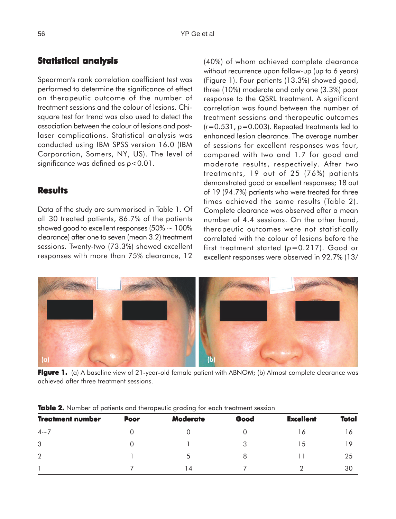# **Statistical analysis**

Spearman's rank correlation coefficient test was performed to determine the significance of effect on therapeutic outcome of the number of treatment sessions and the colour of lesions. Chisquare test for trend was also used to detect the association between the colour of lesions and postlaser complications. Statistical analysis was conducted using IBM SPSS version 16.0 (IBM Corporation, Somers, NY, US). The level of significance was defined as *p*<0.01.

### **Results**

Data of the study are summarised in Table 1. Of all 30 treated patients, 86.7% of the patients showed good to excellent responses (50%  $\sim$  100% clearance) after one to seven (mean 3.2) treatment sessions. Twenty-two (73.3%) showed excellent responses with more than 75% clearance, 12

(40%) of whom achieved complete clearance without recurrence upon follow-up (up to 6 years) (Figure 1). Four patients (13.3%) showed good, three (10%) moderate and only one (3.3%) poor response to the QSRL treatment. A significant correlation was found between the number of treatment sessions and therapeutic outcomes (*r*=0.531, *p*=0.003). Repeated treatments led to enhanced lesion clearance. The average number of sessions for excellent responses was four, compared with two and 1.7 for good and moderate results, respectively. After two treatments, 19 out of 25 (76%) patients demonstrated good or excellent responses; 18 out of 19 (94.7%) patients who were treated for three times achieved the same results (Table 2). Complete clearance was observed after a mean number of 4.4 sessions. On the other hand, therapeutic outcomes were not statistically correlated with the colour of lesions before the first treatment started ( $p=0.217$ ). Good or excellent responses were observed in 92.7% (13/



**Figure 1.** (a) A baseline view of 21-year-old female patient with ABNOM; (b) Almost complete clearance was achieved after three treatment sessions.

|                         |             | $\check{ }$<br>ັ |      |                  |       |
|-------------------------|-------------|------------------|------|------------------|-------|
| <b>Treatment number</b> | <b>Poor</b> | <b>Moderate</b>  | Good | <b>Excellent</b> | Total |
| $4\sim$ 7               |             |                  |      | 16               | 16    |
| 3                       |             |                  | 3    | 15               | 19    |
| $\overline{2}$          |             |                  | 8    |                  | 25    |
|                         |             | l 4              |      |                  | 30    |

**Table 2.** Number of patients and therapeutic grading for each treatment session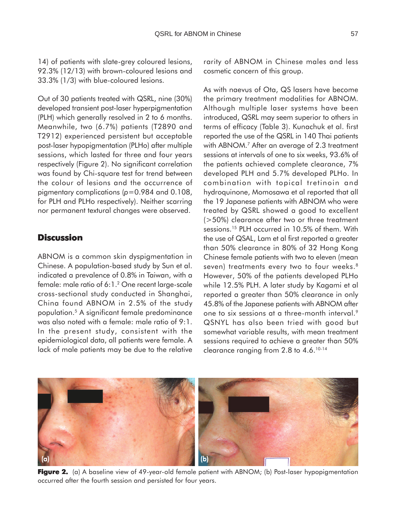14) of patients with slate-grey coloured lesions, 92.3% (12/13) with brown-coloured lesions and 33.3% (1/3) with blue-coloured lesions.

Out of 30 patients treated with QSRL, nine (30%) developed transient post-laser hyperpigmentation (PLH) which generally resolved in 2 to 6 months. Meanwhile, two (6.7%) patients (T2890 and T2912) experienced persistent but acceptable post-laser hypopigmentation (PLHo) after multiple sessions, which lasted for three and four years respectively (Figure 2). No significant correlation was found by Chi-square test for trend between the colour of lesions and the occurrence of pigmentary complications (*p*=0.984 and 0.108, for PLH and PLHo respectively). Neither scarring nor permanent textural changes were observed.

## **Discussion**

ABNOM is a common skin dyspigmentation in Chinese. A population-based study by Sun et al. indicated a prevalence of 0.8% in Taiwan, with a female: male ratio of 6:1.2 One recent large-scale cross-sectional study conducted in Shanghai, China found ABNOM in 2.5% of the study population.5 A significant female predominance was also noted with a female: male ratio of 9:1. In the present study, consistent with the epidemiological data, all patients were female. A lack of male patients may be due to the relative rarity of ABNOM in Chinese males and less cosmetic concern of this group.

As with naevus of Ota, QS lasers have become the primary treatment modalities for ABNOM. Although multiple laser systems have been introduced, QSRL may seem superior to others in terms of efficacy (Table 3). Kunachuk et al. first reported the use of the QSRL in 140 Thai patients with ABNOM.<sup>7</sup> After an average of 2.3 treatment sessions at intervals of one to six weeks, 93.6% of the patients achieved complete clearance, 7% developed PLH and 5.7% developed PLHo. In combination with topical tretinoin and hydroquinone, Momosawa et al reported that all the 19 Japanese patients with ABNOM who were treated by QSRL showed a good to excellent (>50%) clearance after two or three treatment sessions.15 PLH occurred in 10.5% of them. With the use of QSAL, Lam et al first reported a greater than 50% clearance in 80% of 32 Hong Kong Chinese female patients with two to eleven (mean seven) treatments every two to four weeks.<sup>8</sup> However, 50% of the patients developed PLHo while 12.5% PLH. A later study by Kagami et al reported a greater than 50% clearance in only 45.8% of the Japanese patients with ABNOM after one to six sessions at a three-month interval.<sup>9</sup> QSNYL has also been tried with good but somewhat variable results, with mean treatment sessions required to achieve a greater than 50% clearance ranging from 2.8 to 4.6.10-14



**Figure 2.** (a) A baseline view of 49-year-old female patient with ABNOM; (b) Post-laser hypopigmentation occurred after the fourth session and persisted for four years.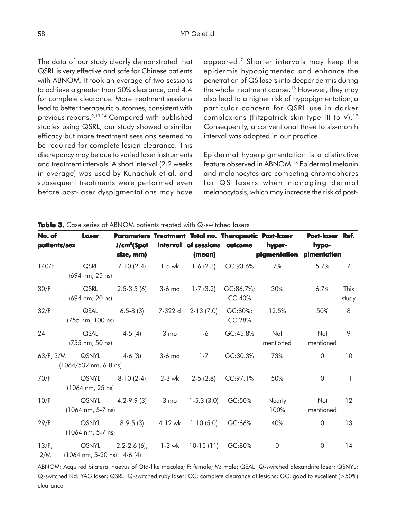The data of our study clearly demonstrated that QSRL is very effective and safe for Chinese patients with ABNOM. It took an average of two sessions to achieve a greater than 50% clearance, and 4.4 for complete clearance. More treatment sessions lead to better therapeutic outcomes, consistent with previous reports.9,13,14 Compared with published studies using QSRL, our study showed a similar efficacy but more treatment sessions seemed to be required for complete lesion clearance. This discrepancy may be due to varied laser instruments and treatment intervals. A short interval (2.2 weeks in average) was used by Kunachuk et al. and subsequent treatments were performed even before post-laser dyspigmentations may have

appeared.7 Shorter intervals may keep the epidermis hypopigmented and enhance the penetration of QS lasers into deeper dermis during the whole treatment course.<sup>16</sup> However, they may also lead to a higher risk of hypopigmentation, a particular concern for QSRL use in darker complexions (Fitzpatrick skin type III to V).17 Consequently, a conventional three to six-month interval was adopted in our practice.

Epidermal hyperpigmentation is a distinctive feature observed in ABNOM.18 Epidermal melanin and melanocytes are competing chromophores for QS lasers when managing dermal melanocytosis, which may increase the risk of post-

| No. of<br>patients/sex | <b>Laser</b>                                          | J/cm <sup>2</sup> (Spot<br>size, mm) | interval        | of sessions outcome<br>(mean) | Parameters Treatment Total no. Therapeutic Post-laser | hyper-<br>pigmentation | Post-laser Ref.<br>hypo-<br>pimentation |                |
|------------------------|-------------------------------------------------------|--------------------------------------|-----------------|-------------------------------|-------------------------------------------------------|------------------------|-----------------------------------------|----------------|
| 140/F                  | QSRL<br>(694 nm, 25 ns)                               | $7-10(2-4)$                          | 1-6 wk          | $1-6(2.3)$                    | CC:93.6%                                              | 7%                     | 5.7%                                    | $\overline{7}$ |
| 30/F                   | QSRL<br>(694 nm, 20 ns)                               | $2.5 - 3.5(6)$                       | $3-6$ mo        | $1 - 7(3.2)$                  | GC:86.7%;<br>CC:40%                                   | 30%                    | 6.7%                                    | This<br>study  |
| 32/F                   | QSAL<br>(755 nm, 100 ns)                              | $6.5 - 8(3)$                         | 7-322 d         | $2-13(7.0)$                   | GC:80%;<br>CC:28%                                     | 12.5%                  | 50%                                     | 8              |
| 24                     | QSAL<br>(755 nm, 50 ns)                               | $4-5(4)$                             | 3 <sub>mo</sub> | $1 - 6$                       | GC:45.8%                                              | Not<br>mentioned       | Not<br>mentioned                        | 9              |
| 63/F, 3/M              | QSNYL<br>$(1064/532$ nm, 6-8 ns)                      | $4-6(3)$                             | $3-6$ mo        | $1 - 7$                       | GC:30.3%                                              | 73%                    | $\mathbf 0$                             | 10             |
| 70/F                   | QSNYL<br>$(1064 \text{ nm}, 25 \text{ ns})$           | $8-10(2-4)$                          | 2-3 wk          | $2-5(2.8)$                    | CC:97.1%                                              | 50%                    | $\overline{0}$                          | 11             |
| 10/F                   | QSNYL<br>$(1064 \text{ nm}, 5-7 \text{ ns})$          | $4.2 - 9.9(3)$                       |                 | $3 \text{ mo}$ 1-5.3 (3.0)    | GC:50%                                                | Nearly<br>100%         | Not<br>mentioned                        | 12             |
| 29/F                   | QSNYL<br>$(1064 \text{ nm}, 5-7 \text{ ns})$          | 8-9.5 (3)                            |                 | $4-12$ wk 1-10 (5.0)          | GC:66%                                                | 40%                    | $\overline{0}$                          | 13             |
| $13/F$ ,<br>2/M        | QSNYL<br>$(1064 \text{ nm}, 5-20 \text{ ns})$ 4-6 (4) | $2.2 - 2.6(6)$ ;                     | 1-2 wk          | $10-15(11)$                   | GC:80%                                                | $\overline{0}$         | $\overline{0}$                          | 14             |

**Table 3.** Case series of ABNOM patients treated with Q-switched lasers

ABNOM: Acquired bilateral naevus of Ota-like macules; F: female; M: male; QSAL: Q-switched alexandrite laser; QSNYL: Q-switched Nd: YAG laser; QSRL: Q-switched ruby laser; CC: complete clearance of lesions; GC: good to excellent (>50%) clearance.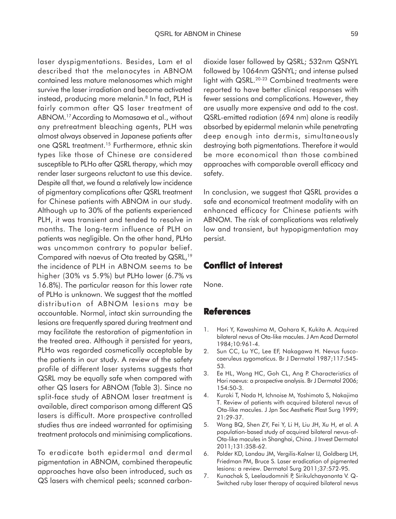laser dyspigmentations. Besides, Lam et al described that the melanocytes in ABNOM contained less mature melanosomes which might survive the laser irradiation and become activated instead, producing more melanin.<sup>8</sup> In fact, PLH is fairly common after QS laser treatment of ABNOM.17 According to Momasawa et al., without any pretreatment bleaching agents, PLH was almost always observed in Japanese patients after one QSRL treatment.<sup>15</sup> Furthermore, ethnic skin types like those of Chinese are considered susceptible to PLHo after QSRL therapy, which may render laser surgeons reluctant to use this device. Despite all that, we found a relatively low incidence of pigmentary complications after QSRL treatment for Chinese patients with ABNOM in our study. Although up to 30% of the patients experienced PLH, it was transient and tended to resolve in months. The long-term influence of PLH on patients was negligible. On the other hand, PLHo was uncommon contrary to popular belief. Compared with naevus of Ota treated by QSRL,<sup>19</sup> the incidence of PLH in ABNOM seems to be higher (30% vs 5.9%) but PLHo lower (6.7% vs 16.8%). The particular reason for this lower rate of PLHo is unknown. We suggest that the mottled distribution of ABNOM lesions may be accountable. Normal, intact skin surrounding the lesions are frequently spared during treatment and may facilitate the restoration of pigmentation in the treated area. Although it persisted for years, PLHo was regarded cosmetically acceptable by the patients in our study. A review of the safety profile of different laser systems suggests that QSRL may be equally safe when compared with other QS lasers for ABNOM (Table 3). Since no split-face study of ABNOM laser treatment is available, direct comparison among different QS lasers is difficult. More prospective controlled studies thus are indeed warranted for optimising treatment protocols and minimising complications.

To eradicate both epidermal and dermal pigmentation in ABNOM, combined therapeutic approaches have also been introduced, such as QS lasers with chemical peels; scanned carbondioxide laser followed by QSRL; 532nm QSNYL followed by 1064nm QSNYL; and intense pulsed light with QSRL.<sup>20-23</sup> Combined treatments were reported to have better clinical responses with fewer sessions and complications. However, they are usually more expensive and add to the cost. QSRL-emitted radiation (694 nm) alone is readily absorbed by epidermal melanin while penetrating deep enough into dermis, simultaneously destroying both pigmentations. Therefore it would be more economical than those combined approaches with comparable overall efficacy and safety.

In conclusion, we suggest that QSRL provides a safe and economical treatment modality with an enhanced efficacy for Chinese patients with ABNOM. The risk of complications was relatively low and transient, but hypopigmentation may persist.

## **Conflict of interest interest**

None.

## **References**

- 1. Hori Y, Kawashima M, Oohara K, Kukita A. Acquired bilateral nevus of Ota-like macules. J Am Acad Dermatol 1984;10:961-4.
- 2. Sun CC, Lu YC, Lee EF, Nakagawa H. Nevus fuscocaeruleus zygomaticus. Br J Dermatol 1987;117:545- 53.
- 3. Ee HL, Wong HC, Goh CL, Ang P. Characteristics of Hori naevus: a prospective analysis. Br J Dermatol 2006; 154:50-3.
- 4. Kuroki T, Noda H, Ichnoise M, Yoshimoto S, Nakajima T. Review of patients with acquired bilateral nevus of Ota-like macules. J Jpn Soc Aesthetic Plast Surg 1999; 21:29-37.
- 5. Wang BQ, Shen ZY, Fei Y, Li H, Liu JH, Xu H, et al. A population-based study of acquired bilateral nevus-of-Ota-like macules in Shanghai, China. J Invest Dermatol 2011;131:358-62.
- 6. Polder KD, Landau JM, Vergilis-Kalner IJ, Goldberg LH, Friedman PM, Bruce S. Laser eradication of pigmented lesions: a review. Dermatol Surg 2011;37:572-95.
- 7. Kunachak S, Leelaudomniti P, Sirikulchayanonta V. Q-Switched ruby laser therapy of acquired bilateral nevus